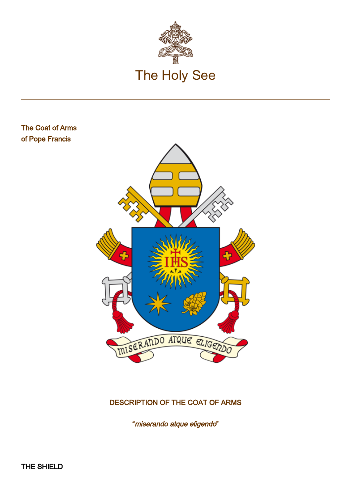

## The Coat of Arms of Pope Francis



## DESCRIPTION OF THE COAT OF ARMS

"miserando atque eligendo"